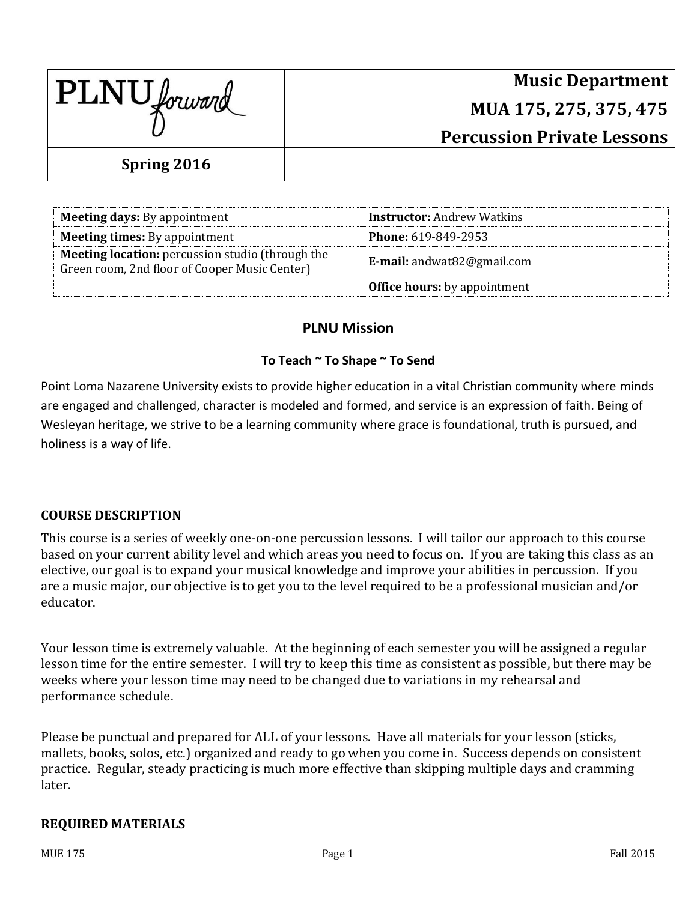| PLNU forward |  |
|--------------|--|
|--------------|--|

# **Music Department MUA 175, 275, 375, 475 Percussion Private Lessons**

### **Spring 2016**

| <b>Meeting days:</b> By appointment                                                                      | <b>Instructor:</b> Andrew Watkins     |
|----------------------------------------------------------------------------------------------------------|---------------------------------------|
| <b>Meeting times:</b> By appointment                                                                     | <b>Phone: 619-849-2953</b>            |
| <b>Meeting location:</b> percussion studio (through the<br>Green room, 2nd floor of Cooper Music Center) | <b>E-mail:</b> andwat $82@$ gmail.com |
|                                                                                                          | <b>Office hours:</b> by appointment   |

#### **PLNU Mission**

#### **To Teach ~ To Shape ~ To Send**

Point Loma Nazarene University exists to provide higher education in a vital Christian community where minds are engaged and challenged, character is modeled and formed, and service is an expression of faith. Being of Wesleyan heritage, we strive to be a learning community where grace is foundational, truth is pursued, and holiness is a way of life.

#### **COURSE DESCRIPTION**

This course is a series of weekly one-on-one percussion lessons. I will tailor our approach to this course based on your current ability level and which areas you need to focus on. If you are taking this class as an elective, our goal is to expand your musical knowledge and improve your abilities in percussion. If you are a music major, our objective is to get you to the level required to be a professional musician and/or educator.

Your lesson time is extremely valuable. At the beginning of each semester you will be assigned a regular lesson time for the entire semester. I will try to keep this time as consistent as possible, but there may be weeks where your lesson time may need to be changed due to variations in my rehearsal and performance schedule.

Please be punctual and prepared for ALL of your lessons. Have all materials for your lesson (sticks, mallets, books, solos, etc.) organized and ready to go when you come in. Success depends on consistent practice. Regular, steady practicing is much more effective than skipping multiple days and cramming later.

#### **REQUIRED MATERIALS**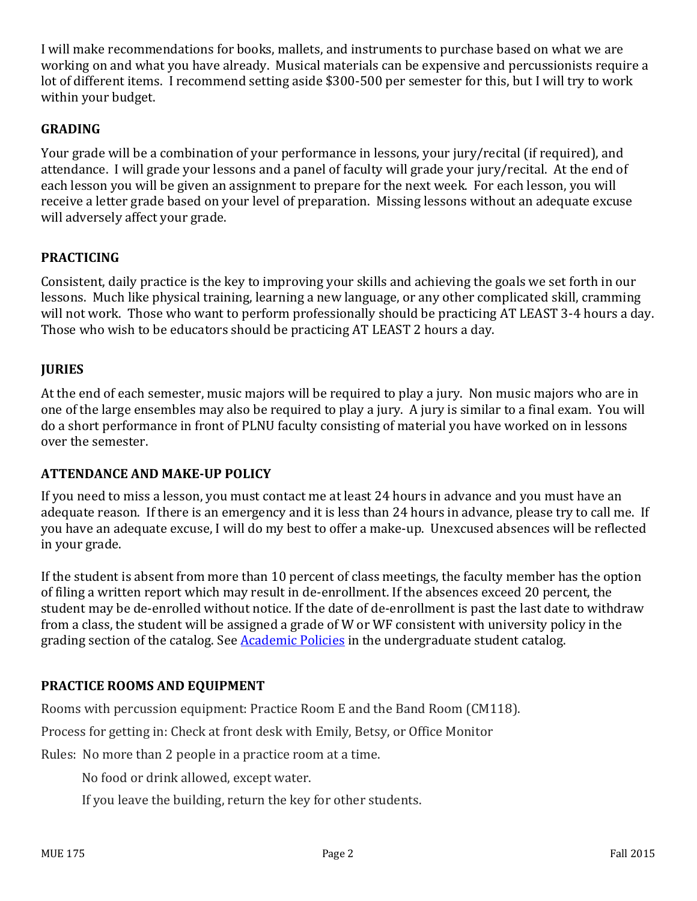I will make recommendations for books, mallets, and instruments to purchase based on what we are working on and what you have already. Musical materials can be expensive and percussionists require a lot of different items. I recommend setting aside \$300-500 per semester for this, but I will try to work within your budget.

#### **GRADING**

Your grade will be a combination of your performance in lessons, your jury/recital (if required), and attendance. I will grade your lessons and a panel of faculty will grade your jury/recital. At the end of each lesson you will be given an assignment to prepare for the next week. For each lesson, you will receive a letter grade based on your level of preparation. Missing lessons without an adequate excuse will adversely affect your grade.

#### **PRACTICING**

Consistent, daily practice is the key to improving your skills and achieving the goals we set forth in our lessons. Much like physical training, learning a new language, or any other complicated skill, cramming will not work. Those who want to perform professionally should be practicing AT LEAST 3-4 hours a day. Those who wish to be educators should be practicing AT LEAST 2 hours a day.

#### **JURIES**

At the end of each semester, music majors will be required to play a jury. Non music majors who are in one of the large ensembles may also be required to play a jury. A jury is similar to a final exam. You will do a short performance in front of PLNU faculty consisting of material you have worked on in lessons over the semester.

#### **ATTENDANCE AND MAKE-UP POLICY**

If you need to miss a lesson, you must contact me at least 24 hours in advance and you must have an adequate reason. If there is an emergency and it is less than 24 hours in advance, please try to call me. If you have an adequate excuse, I will do my best to offer a make-up. Unexcused absences will be reflected in your grade.

If the student is absent from more than 10 percent of class meetings, the faculty member has the option of filing a written report which may result in de-enrollment. If the absences exceed 20 percent, the student may be de-enrolled without notice. If the date of de-enrollment is past the last date to withdraw from a class, the student will be assigned a grade of W or WF consistent with university policy in the grading section of the catalog. See [Academic Policies](http://www.pointloma.edu/experience/academics/catalogs/undergraduate-catalog/point-loma-education/academic-policies) in the undergraduate student catalog.

#### **PRACTICE ROOMS AND EQUIPMENT**

Rooms with percussion equipment: Practice Room E and the Band Room (CM118).

Process for getting in: Check at front desk with Emily, Betsy, or Office Monitor

Rules: No more than 2 people in a practice room at a time.

No food or drink allowed, except water.

If you leave the building, return the key for other students.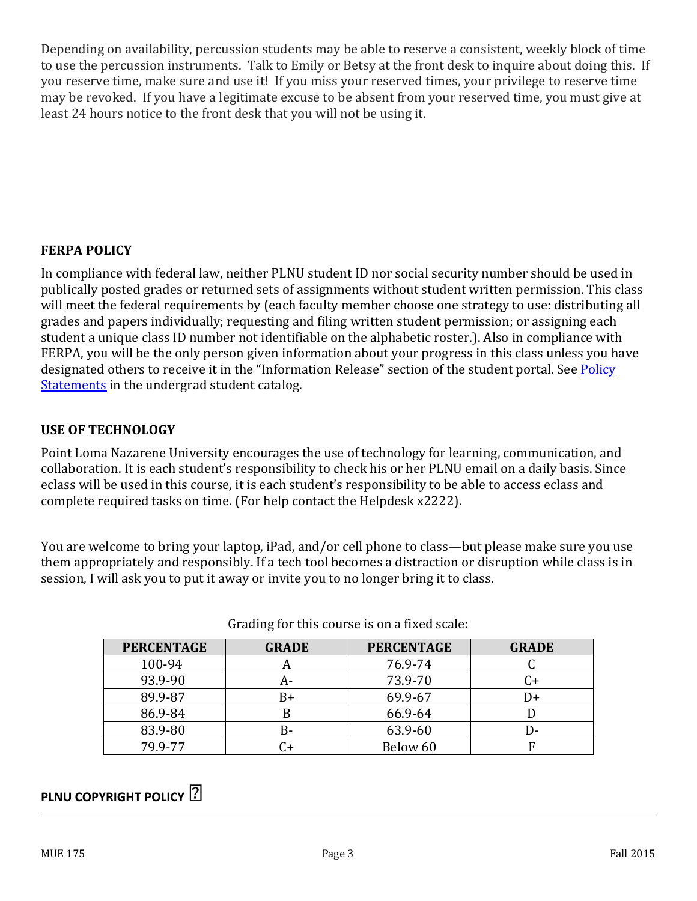Depending on availability, percussion students may be able to reserve a consistent, weekly block of time to use the percussion instruments. Talk to Emily or Betsy at the front desk to inquire about doing this. If you reserve time, make sure and use it! If you miss your reserved times, your privilege to reserve time may be revoked. If you have a legitimate excuse to be absent from your reserved time, you must give at least 24 hours notice to the front desk that you will not be using it.

#### **FERPA POLICY**

In compliance with federal law, neither PLNU student ID nor social security number should be used in publically posted grades or returned sets of assignments without student written permission. This class will meet the federal requirements by (each faculty member choose one strategy to use: distributing all grades and papers individually; requesting and filing written student permission; or assigning each student a unique class ID number not identifiable on the alphabetic roster.). Also in compliance with FERPA, you will be the only person given information about your progress in this class unless you have designated others to receive it in the "Information Release" section of the student portal. See Policy [Statements](http://www.pointloma.edu/experience/academics/catalogs/undergraduate-catalog/policy-statements) in the undergrad student catalog.

#### **USE OF TECHNOLOGY**

Point Loma Nazarene University encourages the use of technology for learning, communication, and collaboration. It is each student's responsibility to check his or her PLNU email on a daily basis. Since eclass will be used in this course, it is each student's responsibility to be able to access eclass and complete required tasks on time. (For help contact the Helpdesk x2222).

You are welcome to bring your laptop, iPad, and/or cell phone to class—but please make sure you use them appropriately and responsibly. If a tech tool becomes a distraction or disruption while class is in session, I will ask you to put it away or invite you to no longer bring it to class.

| <b>PERCENTAGE</b> | <b>GRADE</b> | <b>PERCENTAGE</b> | <b>GRADE</b> |
|-------------------|--------------|-------------------|--------------|
| 100-94            | n            | 76.9-74           |              |
| 93.9-90           | А-           | 73.9-70           |              |
| 89.9-87           | B+           | 69.9-67           | I)+          |
| 86.9-84           | ĸ            | 66.9-64           |              |
| 83.9-80           | B-           | 63.9-60           | l ) –        |
| 79.9-77           | $+$          | Below 60          |              |

Grading for this course is on a fixed scale:

### **PLNU COPYRIGHT POLICY ⍟**